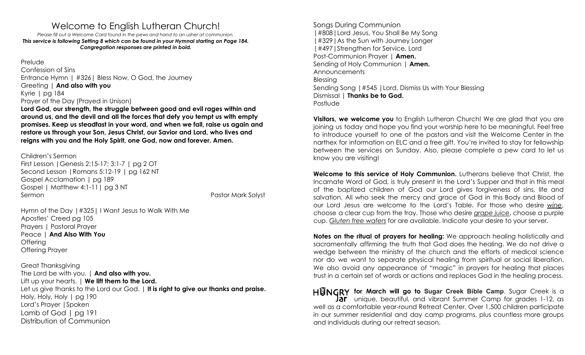## Welcome to English Lutheran Church!

*Please fill out a Welcome Card found in the pews and hand to an usher at communion. This service is following Setting 8 which can be found in your Hymnal starting on Page 184. Congregation responses are printed in bold.*

Prelude Confession of Sins Entrance Hymn | #326| Bless Now, O God, the Journey Greeting | **And also with you** Kyrie | pg 184 Prayer of the Day (Prayed in Unison)

**Lord God, our strength, the struggle between good and evil rages within and around us, and the devil and all the forces that defy you tempt us with empty promises. Keep us steadfast in your word, and when we fall, raise us again and restore us through your Son, Jesus Christ, our Savior and Lord, who lives and reigns with you and the Holy Spirit, one God, now and forever. Amen.**

Children's Sermon

First Lesson |Genesis 2:15-17; 3:1-7 | pg 2 OT Second Lesson |Romans 5:12-19 | pg 162 NT Gospel Acclamation | pg 189 Gospel | Matthew 4:1-11| pg 3 NT Sermon Pastor Mark Solyst

Hymn of the Day |#325| I Want Jesus to Walk With Me Apostles' Creed pg 105 Prayers | Pastoral Prayer Peace | **And Also With You Offering** Offering Prayer

Great Thanksgiving The Lord be with you. | **And also with you.** Lift up your hearts. | **We lift them to the Lord.** Let us give thanks to the Lord our God. | **It is right to give our thanks and praise.** Holy, Holy, Holy | pg 190 Lord's Prayer |Spoken Lamb of God | pg 191 Distribution of Communion

Songs During Communion |#808|Lord Jesus, You Shall Be My Song |#329|As the Sun with Journey Longer |#497|Strengthen for Service, Lord Post-Communion Prayer | **Amen.** Sending of Holy Communion | **Amen. Announcements** Blessing Sending Song |#545 |Lord, Dismiss Us with Your Blessing Dismissal | **Thanks be to God.** Postlude

**Visitors, we welcome you** to English Lutheran Church! We are glad that you are joining us today and hope you find your worship here to be meaningful. Feel free to introduce yourself to one of the pastors and visit the Welcome Center in the narthex for information on ELC and a free gift. You're invited to stay for fellowship between the services on Sunday. Also, please complete a pew card to let us know you are visiting!

**Welcome to this service of Holy Communion.** Lutherans believe that Christ, the Incarnate Word of God, is truly present in the Lord's Supper and that in this meal of the baptized children of God our Lord gives forgiveness of sins, life and salvation. All who seek the mercy and grace of God in this Body and Blood of our Lord Jesus are welcome to the Lord's Table. For those who desire *wine*, choose a clear cup from the tray. Those who desire *grape juice*, choose a purple cup. *Gluten free wafers* for are available. Indicate your desire to your server.

**Notes on the ritual of prayers for healing:** We approach healing holistically and sacramentally affirming the truth that God does the healing. We do not drive a wedge between the ministry of the church and the efforts of medical science nor do we want to separate physical healing from spiritual or social liberation. We also avoid any appearance of "magic" in prayers for healing that places trust in a certain set of words or actions and replaces God in the healing process.

**HUNGRY** for March will go to Sugar Creek Bible Camp. Sugar Creek is a Jar unique, beautiful, and vibrant Summer Camp for grades 1-12, as well as a comfortable year-round Retreat Center. Over 1,500 children participate in our summer residential and day camp programs, plus countless more groups and individuals during our retreat season.